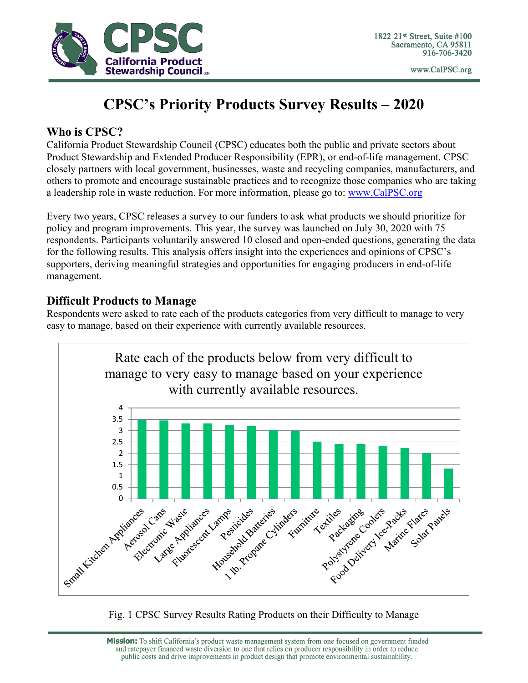

www.CalPSC.org

## **CPSC's Priority Products Survey Results – 2020**

### **Who is CPSC?**

California Product Stewardship Council (CPSC) educates both the public and private sectors about Product Stewardship and Extended Producer Responsibility (EPR), or end-of-life management. CPSC closely partners with local government, businesses, waste and recycling companies, manufacturers, and others to promote and encourage sustainable practices and to recognize those companies who are taking a leadership role in waste reduction. For more information, please go to: [www.CalPSC.org](http://www.calpsc.org/)

Every two years, CPSC releases a survey to our funders to ask what products we should prioritize for policy and program improvements. This year, the survey was launched on July 30, 2020 with 75 respondents. Participants voluntarily answered 10 closed and open-ended questions, generating the data for the following results. This analysis offers insight into the experiences and opinions of CPSC's supporters, deriving meaningful strategies and opportunities for engaging producers in end-of-life management.

## **Difficult Products to Manage**

Respondents were asked to rate each of the products categories from very difficult to manage to very easy to manage, based on their experience with currently available resources.



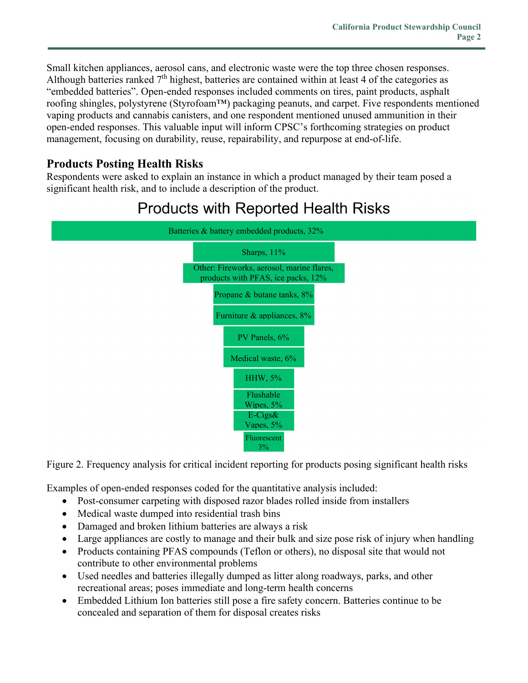Small kitchen appliances, aerosol cans, and electronic waste were the top three chosen responses. Although batteries ranked 7<sup>th</sup> highest, batteries are contained within at least 4 of the categories as "embedded batteries". Open-ended responses included comments on tires, paint products, asphalt roofing shingles, polystyrene (Styrofoam™) packaging peanuts, and carpet. Five respondents mentioned vaping products and cannabis canisters, and one respondent mentioned unused ammunition in their open-ended responses. This valuable input will inform CPSC's forthcoming strategies on product management, focusing on durability, reuse, repairability, and repurpose at end-of-life.

## **Products Posting Health Risks**

Respondents were asked to explain an instance in which a product managed by their team posed a significant health risk, and to include a description of the product.

# **Products with Reported Health Risks**



Figure 2. Frequency analysis for critical incident reporting for products posing significant health risks

Examples of open-ended responses coded for the quantitative analysis included:

- Post-consumer carpeting with disposed razor blades rolled inside from installers
- Medical waste dumped into residential trash bins
- Damaged and broken lithium batteries are always a risk
- Large appliances are costly to manage and their bulk and size pose risk of injury when handling
- Products containing PFAS compounds (Teflon or others), no disposal site that would not contribute to other environmental problems
- Used needles and batteries illegally dumped as litter along roadways, parks, and other recreational areas; poses immediate and long-term health concerns
- Embedded Lithium Ion batteries still pose a fire safety concern. Batteries continue to be concealed and separation of them for disposal creates risks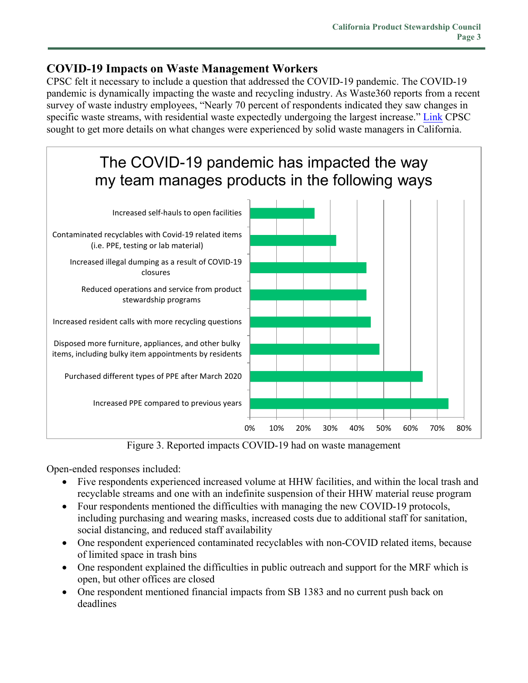### **COVID-19 Impacts on Waste Management Workers**

CPSC felt it necessary to include a question that addressed the COVID-19 pandemic. The COVID-19 pandemic is dynamically impacting the waste and recycling industry. As Waste360 reports from a recent survey of waste industry employees, "Nearly 70 percent of respondents indicated they saw changes in specific waste streams, with residential waste expectedly undergoing the largest increase." [Link](https://www.waste360.com/business/weathering-essential-look-inside-covid-19-impact-waste-and-recycling-industry) CPSC sought to get more details on what changes were experienced by solid waste managers in California.



Figure 3. Reported impacts COVID-19 had on waste management

Open-ended responses included:

- Five respondents experienced increased volume at HHW facilities, and within the local trash and recyclable streams and one with an indefinite suspension of their HHW material reuse program
- Four respondents mentioned the difficulties with managing the new COVID-19 protocols, including purchasing and wearing masks, increased costs due to additional staff for sanitation, social distancing, and reduced staff availability
- One respondent experienced contaminated recyclables with non-COVID related items, because of limited space in trash bins
- One respondent explained the difficulties in public outreach and support for the MRF which is open, but other offices are closed
- One respondent mentioned financial impacts from SB 1383 and no current push back on deadlines